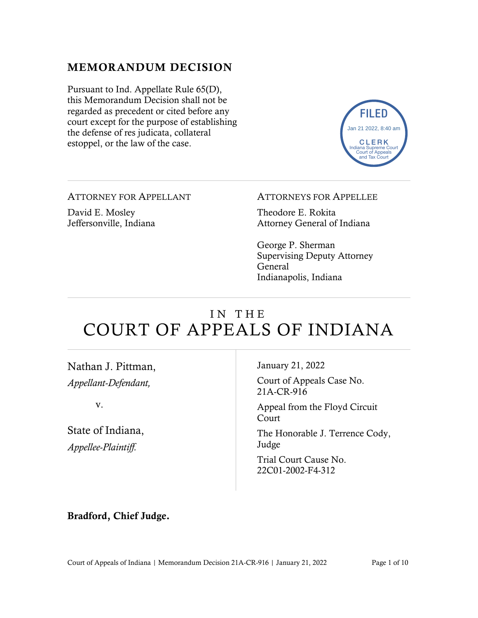#### MEMORANDUM DECISION

Pursuant to Ind. Appellate Rule 65(D), this Memorandum Decision shall not be regarded as precedent or cited before any court except for the purpose of establishing the defense of res judicata, collateral estoppel, or the law of the case.



ATTORNEY FOR APPELLANT

David E. Mosley Jeffersonville, Indiana

#### ATTORNEYS FOR APPELLEE

Theodore E. Rokita Attorney General of Indiana

George P. Sherman Supervising Deputy Attorney General Indianapolis, Indiana

## IN THE COURT OF APPEALS OF INDIANA

Nathan J. Pittman, *Appellant-Defendant,*

v.

State of Indiana, *Appellee-Plaintiff.*

January 21, 2022

Court of Appeals Case No. 21A-CR-916

Appeal from the Floyd Circuit Court

The Honorable J. Terrence Cody, Judge

Trial Court Cause No. 22C01-2002-F4-312

#### Bradford, Chief Judge.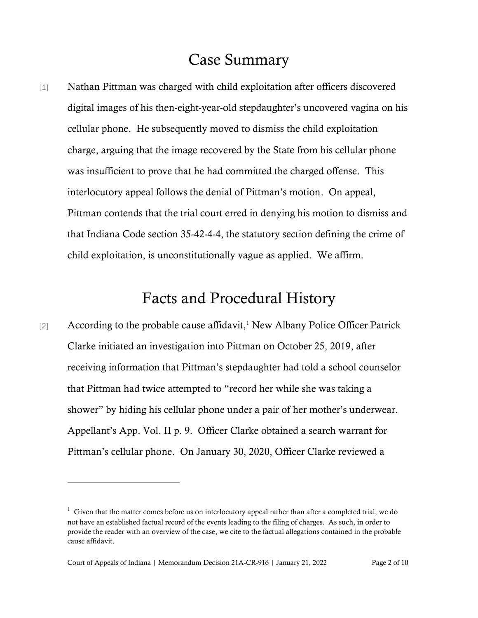## Case Summary

[1] Nathan Pittman was charged with child exploitation after officers discovered digital images of his then-eight-year-old stepdaughter's uncovered vagina on his cellular phone. He subsequently moved to dismiss the child exploitation charge, arguing that the image recovered by the State from his cellular phone was insufficient to prove that he had committed the charged offense. This interlocutory appeal follows the denial of Pittman's motion. On appeal, Pittman contends that the trial court erred in denying his motion to dismiss and that Indiana Code section 35-42-4-4, the statutory section defining the crime of child exploitation, is unconstitutionally vague as applied. We affirm.

## Facts and Procedural History

 $[2]$  According to the probable cause affidavit,<sup>1</sup> New Albany Police Officer Patrick Clarke initiated an investigation into Pittman on October 25, 2019, after receiving information that Pittman's stepdaughter had told a school counselor that Pittman had twice attempted to "record her while she was taking a shower" by hiding his cellular phone under a pair of her mother's underwear. Appellant's App. Vol. II p. 9. Officer Clarke obtained a search warrant for Pittman's cellular phone. On January 30, 2020, Officer Clarke reviewed a

 $1$  Given that the matter comes before us on interlocutory appeal rather than after a completed trial, we do not have an established factual record of the events leading to the filing of charges. As such, in order to provide the reader with an overview of the case, we cite to the factual allegations contained in the probable cause affidavit.

Court of Appeals of Indiana | Memorandum Decision 21A-CR-916 | January 21, 2022 Page 2 of 10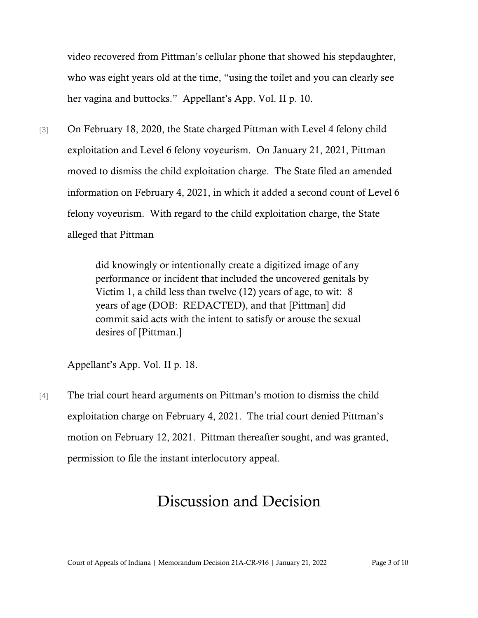video recovered from Pittman's cellular phone that showed his stepdaughter, who was eight years old at the time, "using the toilet and you can clearly see her vagina and buttocks." Appellant's App. Vol. II p. 10.

[3] On February 18, 2020, the State charged Pittman with Level 4 felony child exploitation and Level 6 felony voyeurism. On January 21, 2021, Pittman moved to dismiss the child exploitation charge. The State filed an amended information on February 4, 2021, in which it added a second count of Level 6 felony voyeurism. With regard to the child exploitation charge, the State alleged that Pittman

> did knowingly or intentionally create a digitized image of any performance or incident that included the uncovered genitals by Victim 1, a child less than twelve (12) years of age, to wit: 8 years of age (DOB: REDACTED), and that [Pittman] did commit said acts with the intent to satisfy or arouse the sexual desires of [Pittman.]

Appellant's App. Vol. II p. 18.

[4] The trial court heard arguments on Pittman's motion to dismiss the child exploitation charge on February 4, 2021. The trial court denied Pittman's motion on February 12, 2021. Pittman thereafter sought, and was granted, permission to file the instant interlocutory appeal.

# Discussion and Decision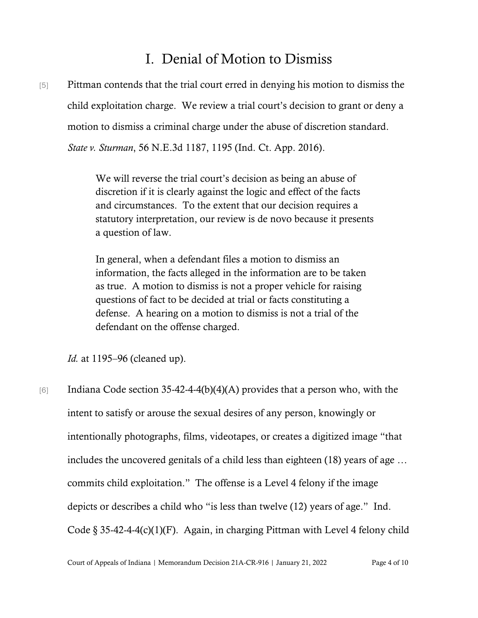### I. Denial of Motion to Dismiss

[5] Pittman contends that the trial court erred in denying his motion to dismiss the child exploitation charge. We review a trial court's decision to grant or deny a motion to dismiss a criminal charge under the abuse of discretion standard. *State v. Sturman*, 56 N.E.3d 1187, 1195 (Ind. Ct. App. 2016).

> We will reverse the trial court's decision as being an abuse of discretion if it is clearly against the logic and effect of the facts and circumstances. To the extent that our decision requires a statutory interpretation, our review is de novo because it presents a question of law.

In general, when a defendant files a motion to dismiss an information, the facts alleged in the information are to be taken as true. A motion to dismiss is not a proper vehicle for raising questions of fact to be decided at trial or facts constituting a defense. A hearing on a motion to dismiss is not a trial of the defendant on the offense charged.

*Id.* at 1195–96 (cleaned up).

[6] Indiana Code section 35-42-4-4(b)(4)(A) provides that a person who, with the intent to satisfy or arouse the sexual desires of any person, knowingly or intentionally photographs, films, videotapes, or creates a digitized image "that includes the uncovered genitals of a child less than eighteen (18) years of age … commits child exploitation." The offense is a Level 4 felony if the image depicts or describes a child who "is less than twelve (12) years of age." Ind. Code  $\S 35-42-4-4(c)(1)(F)$ . Again, in charging Pittman with Level 4 felony child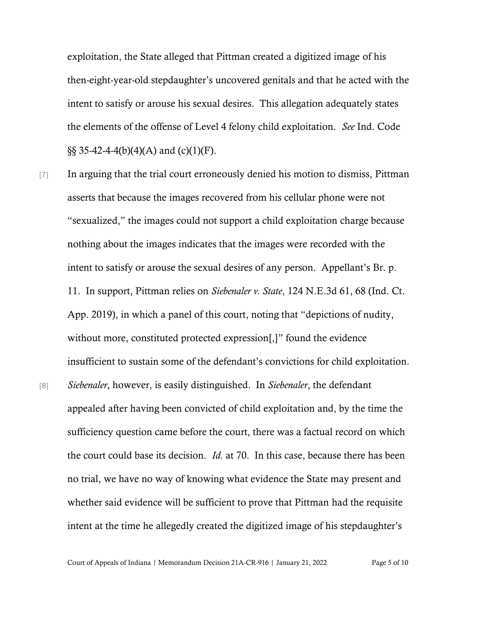exploitation, the State alleged that Pittman created a digitized image of his then-eight-year-old stepdaughter's uncovered genitals and that he acted with the intent to satisfy or arouse his sexual desires. This allegation adequately states the elements of the offense of Level 4 felony child exploitation. *See* Ind. Code  $\S$ § 35-42-4-4(b)(4)(A) and (c)(1)(F).

[7] In arguing that the trial court erroneously denied his motion to dismiss, Pittman asserts that because the images recovered from his cellular phone were not "sexualized," the images could not support a child exploitation charge because nothing about the images indicates that the images were recorded with the intent to satisfy or arouse the sexual desires of any person. Appellant's Br. p. 11. In support, Pittman relies on *Siebenaler v. State*, 124 N.E.3d 61, 68 (Ind. Ct. App. 2019), in which a panel of this court, noting that "depictions of nudity, without more, constituted protected expression[,]" found the evidence insufficient to sustain some of the defendant's convictions for child exploitation. [8] *Siebenaler*, however, is easily distinguished. In *Siebenaler*, the defendant appealed after having been convicted of child exploitation and, by the time the sufficiency question came before the court, there was a factual record on which the court could base its decision. *Id.* at 70. In this case, because there has been no trial, we have no way of knowing what evidence the State may present and whether said evidence will be sufficient to prove that Pittman had the requisite intent at the time he allegedly created the digitized image of his stepdaughter's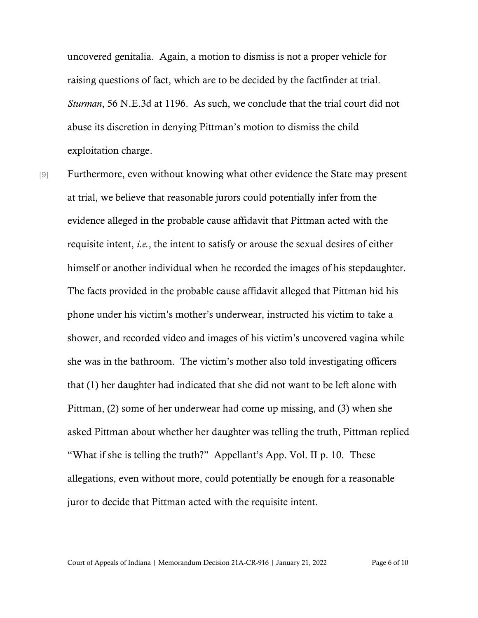uncovered genitalia. Again, a motion to dismiss is not a proper vehicle for raising questions of fact, which are to be decided by the factfinder at trial. *Sturman*, 56 N.E.3d at 1196. As such, we conclude that the trial court did not abuse its discretion in denying Pittman's motion to dismiss the child exploitation charge.

[9] Furthermore, even without knowing what other evidence the State may present at trial, we believe that reasonable jurors could potentially infer from the evidence alleged in the probable cause affidavit that Pittman acted with the requisite intent, *i.e.*, the intent to satisfy or arouse the sexual desires of either himself or another individual when he recorded the images of his stepdaughter. The facts provided in the probable cause affidavit alleged that Pittman hid his phone under his victim's mother's underwear, instructed his victim to take a shower, and recorded video and images of his victim's uncovered vagina while she was in the bathroom. The victim's mother also told investigating officers that (1) her daughter had indicated that she did not want to be left alone with Pittman, (2) some of her underwear had come up missing, and (3) when she asked Pittman about whether her daughter was telling the truth, Pittman replied "What if she is telling the truth?" Appellant's App. Vol. II p. 10. These allegations, even without more, could potentially be enough for a reasonable juror to decide that Pittman acted with the requisite intent.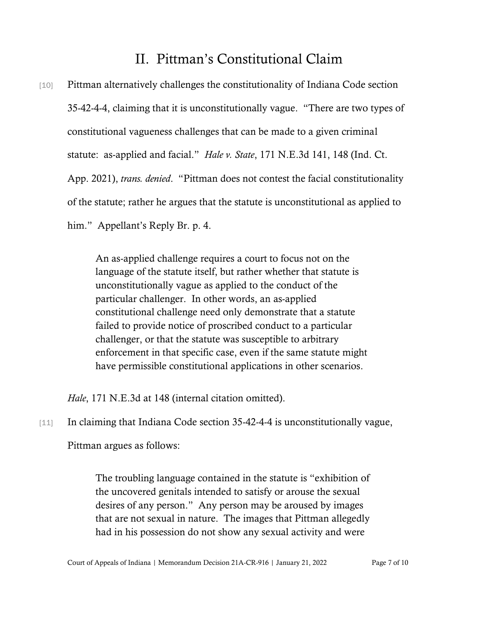### II. Pittman's Constitutional Claim

[10] Pittman alternatively challenges the constitutionality of Indiana Code section 35-42-4-4, claiming that it is unconstitutionally vague. "There are two types of constitutional vagueness challenges that can be made to a given criminal statute: as-applied and facial." *Hale v. State*, 171 N.E.3d 141, 148 (Ind. Ct. App. 2021), *trans. denied*. "Pittman does not contest the facial constitutionality of the statute; rather he argues that the statute is unconstitutional as applied to him." Appellant's Reply Br. p. 4.

> An as-applied challenge requires a court to focus not on the language of the statute itself, but rather whether that statute is unconstitutionally vague as applied to the conduct of the particular challenger. In other words, an as-applied constitutional challenge need only demonstrate that a statute failed to provide notice of proscribed conduct to a particular challenger, or that the statute was susceptible to arbitrary enforcement in that specific case, even if the same statute might have permissible constitutional applications in other scenarios.

*Hale*, 171 N.E.3d at 148 (internal citation omitted).

[11] In claiming that Indiana Code section 35-42-4-4 is unconstitutionally vague,

Pittman argues as follows:

The troubling language contained in the statute is "exhibition of the uncovered genitals intended to satisfy or arouse the sexual desires of any person." Any person may be aroused by images that are not sexual in nature. The images that Pittman allegedly had in his possession do not show any sexual activity and were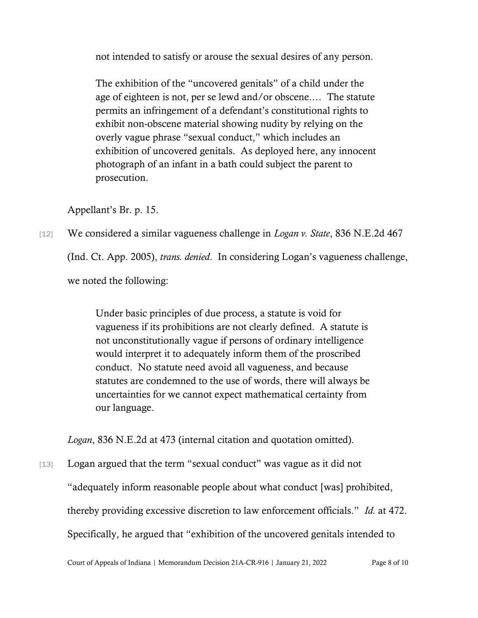not intended to satisfy or arouse the sexual desires of any person.

The exhibition of the "uncovered genitals" of a child under the age of eighteen is not, per se lewd and/or obscene.… The statute permits an infringement of a defendant's constitutional rights to exhibit non-obscene material showing nudity by relying on the overly vague phrase "sexual conduct," which includes an exhibition of uncovered genitals. As deployed here, any innocent photograph of an infant in a bath could subject the parent to prosecution.

Appellant's Br. p. 15.

[12] We considered a similar vagueness challenge in *Logan v. State*, 836 N.E.2d 467 (Ind. Ct. App. 2005), *trans. denied*. In considering Logan's vagueness challenge, we noted the following:

> Under basic principles of due process, a statute is void for vagueness if its prohibitions are not clearly defined. A statute is not unconstitutionally vague if persons of ordinary intelligence would interpret it to adequately inform them of the proscribed conduct. No statute need avoid all vagueness, and because statutes are condemned to the use of words, there will always be uncertainties for we cannot expect mathematical certainty from our language.

*Logan*, 836 N.E.2d at 473 (internal citation and quotation omitted).

[13] Logan argued that the term "sexual conduct" was vague as it did not "adequately inform reasonable people about what conduct [was] prohibited, thereby providing excessive discretion to law enforcement officials." *Id.* at 472. Specifically, he argued that "exhibition of the uncovered genitals intended to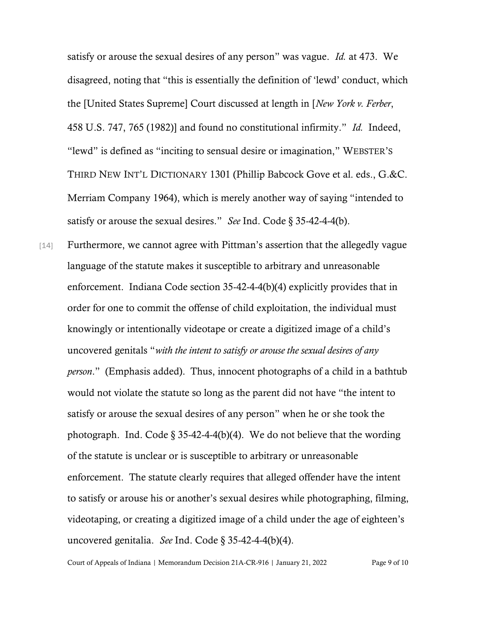satisfy or arouse the sexual desires of any person" was vague. *Id.* at 473. We disagreed, noting that "this is essentially the definition of 'lewd' conduct, which the [United States Supreme] Court discussed at length in [*New York v. Ferber*, 458 U.S. 747, 765 (1982)] and found no constitutional infirmity." *Id.* Indeed, "lewd" is defined as "inciting to sensual desire or imagination," WEBSTER'S THIRD NEW INT'L DICTIONARY 1301 (Phillip Babcock Gove et al. eds., G.&C. Merriam Company 1964), which is merely another way of saying "intended to satisfy or arouse the sexual desires." *See* Ind. Code § 35-42-4-4(b).

[14] Furthermore, we cannot agree with Pittman's assertion that the allegedly vague language of the statute makes it susceptible to arbitrary and unreasonable enforcement. Indiana Code section 35-42-4-4(b)(4) explicitly provides that in order for one to commit the offense of child exploitation, the individual must knowingly or intentionally videotape or create a digitized image of a child's uncovered genitals "*with the intent to satisfy or arouse the sexual desires of any person*." (Emphasis added). Thus, innocent photographs of a child in a bathtub would not violate the statute so long as the parent did not have "the intent to satisfy or arouse the sexual desires of any person" when he or she took the photograph. Ind. Code  $\S 35-42-4-4(b)(4)$ . We do not believe that the wording of the statute is unclear or is susceptible to arbitrary or unreasonable enforcement. The statute clearly requires that alleged offender have the intent to satisfy or arouse his or another's sexual desires while photographing, filming, videotaping, or creating a digitized image of a child under the age of eighteen's uncovered genitalia. *See* Ind. Code § 35-42-4-4(b)(4).